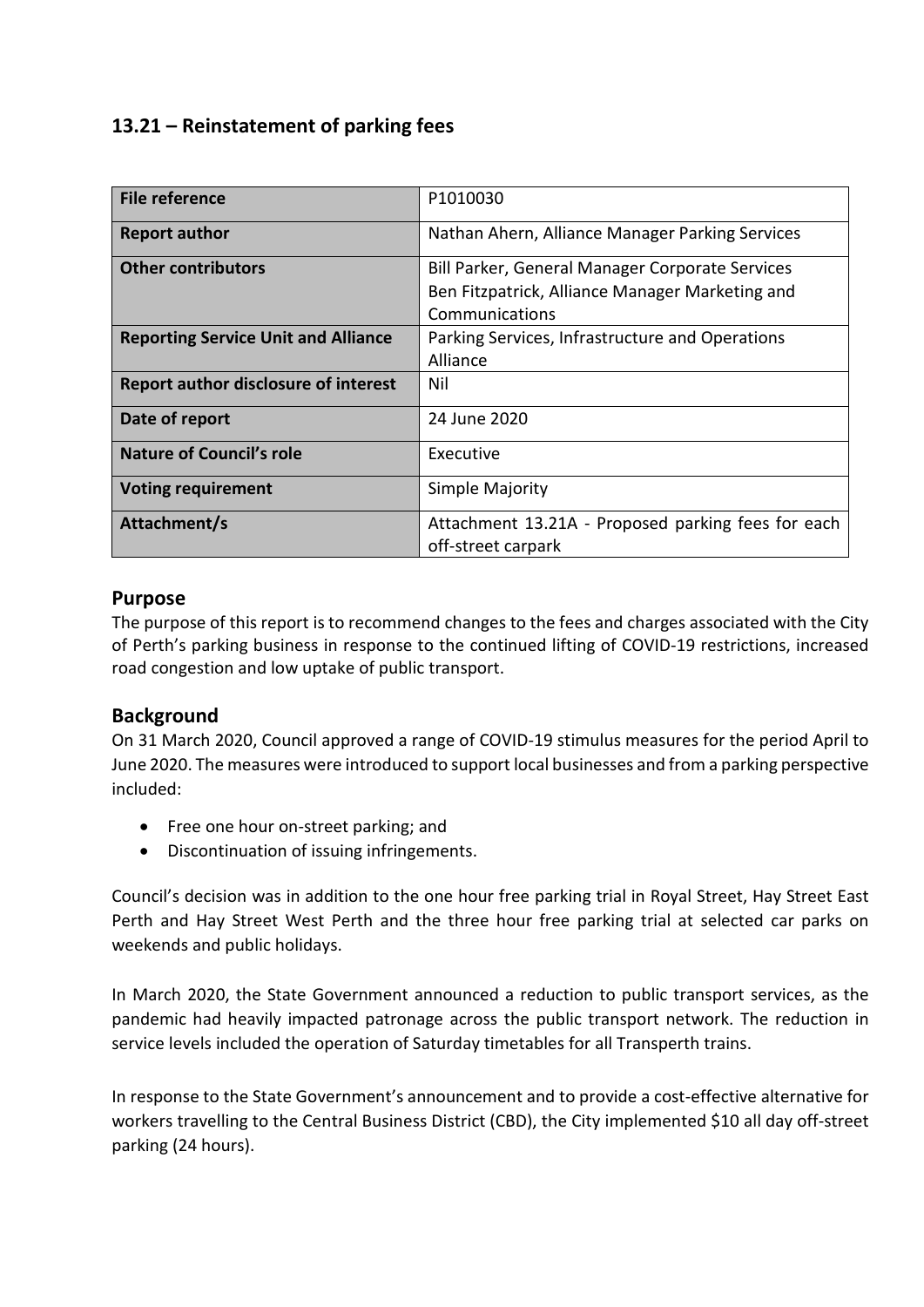# **13.21 – Reinstatement of parking fees**

| <b>File reference</b>                       | P1010030                                                                                                             |
|---------------------------------------------|----------------------------------------------------------------------------------------------------------------------|
| <b>Report author</b>                        | Nathan Ahern, Alliance Manager Parking Services                                                                      |
| <b>Other contributors</b>                   | Bill Parker, General Manager Corporate Services<br>Ben Fitzpatrick, Alliance Manager Marketing and<br>Communications |
| <b>Reporting Service Unit and Alliance</b>  | Parking Services, Infrastructure and Operations<br>Alliance                                                          |
| <b>Report author disclosure of interest</b> | Nil                                                                                                                  |
| Date of report                              | 24 June 2020                                                                                                         |
| <b>Nature of Council's role</b>             | Executive                                                                                                            |
| <b>Voting requirement</b>                   | Simple Majority                                                                                                      |
| Attachment/s                                | Attachment 13.21A - Proposed parking fees for each<br>off-street carpark                                             |

## **Purpose**

The purpose of this report is to recommend changes to the fees and charges associated with the City of Perth's parking business in response to the continued lifting of COVID-19 restrictions, increased road congestion and low uptake of public transport.

## **Background**

On 31 March 2020, Council approved a range of COVID-19 stimulus measures for the period April to June 2020. The measures were introduced to support local businesses and from a parking perspective included:

- Free one hour on-street parking; and
- Discontinuation of issuing infringements.

Council's decision was in addition to the one hour free parking trial in Royal Street, Hay Street East Perth and Hay Street West Perth and the three hour free parking trial at selected car parks on weekends and public holidays.

In March 2020, the State Government announced a reduction to public transport services, as the pandemic had heavily impacted patronage across the public transport network. The reduction in service levels included the operation of Saturday timetables for all Transperth trains.

In response to the State Government's announcement and to provide a cost-effective alternative for workers travelling to the Central Business District (CBD), the City implemented \$10 all day off-street parking (24 hours).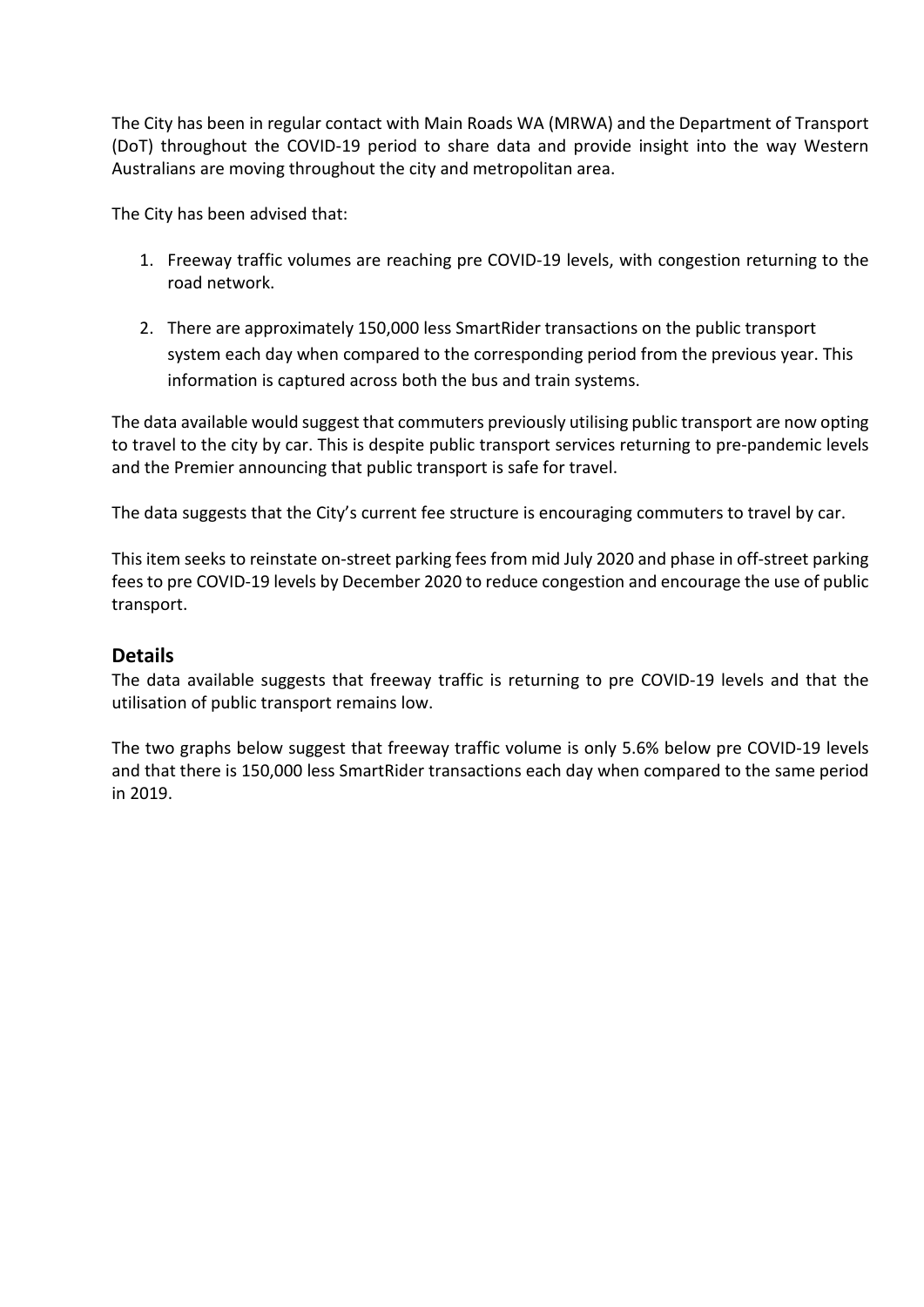The City has been in regular contact with Main Roads WA (MRWA) and the Department of Transport (DoT) throughout the COVID-19 period to share data and provide insight into the way Western Australians are moving throughout the city and metropolitan area.

The City has been advised that:

- 1. Freeway traffic volumes are reaching pre COVID-19 levels, with congestion returning to the road network.
- 2. There are approximately 150,000 less SmartRider transactions on the public transport system each day when compared to the corresponding period from the previous year. This information is captured across both the bus and train systems.

The data available would suggest that commuters previously utilising public transport are now opting to travel to the city by car. This is despite public transport services returning to pre-pandemic levels and the Premier announcing that public transport is safe for travel.

The data suggests that the City's current fee structure is encouraging commuters to travel by car.

This item seeks to reinstate on-street parking fees from mid July 2020 and phase in off-street parking fees to pre COVID-19 levels by December 2020 to reduce congestion and encourage the use of public transport.

### **Details**

The data available suggests that freeway traffic is returning to pre COVID-19 levels and that the utilisation of public transport remains low.

The two graphs below suggest that freeway traffic volume is only 5.6% below pre COVID-19 levels and that there is 150,000 less SmartRider transactions each day when compared to the same period in 2019.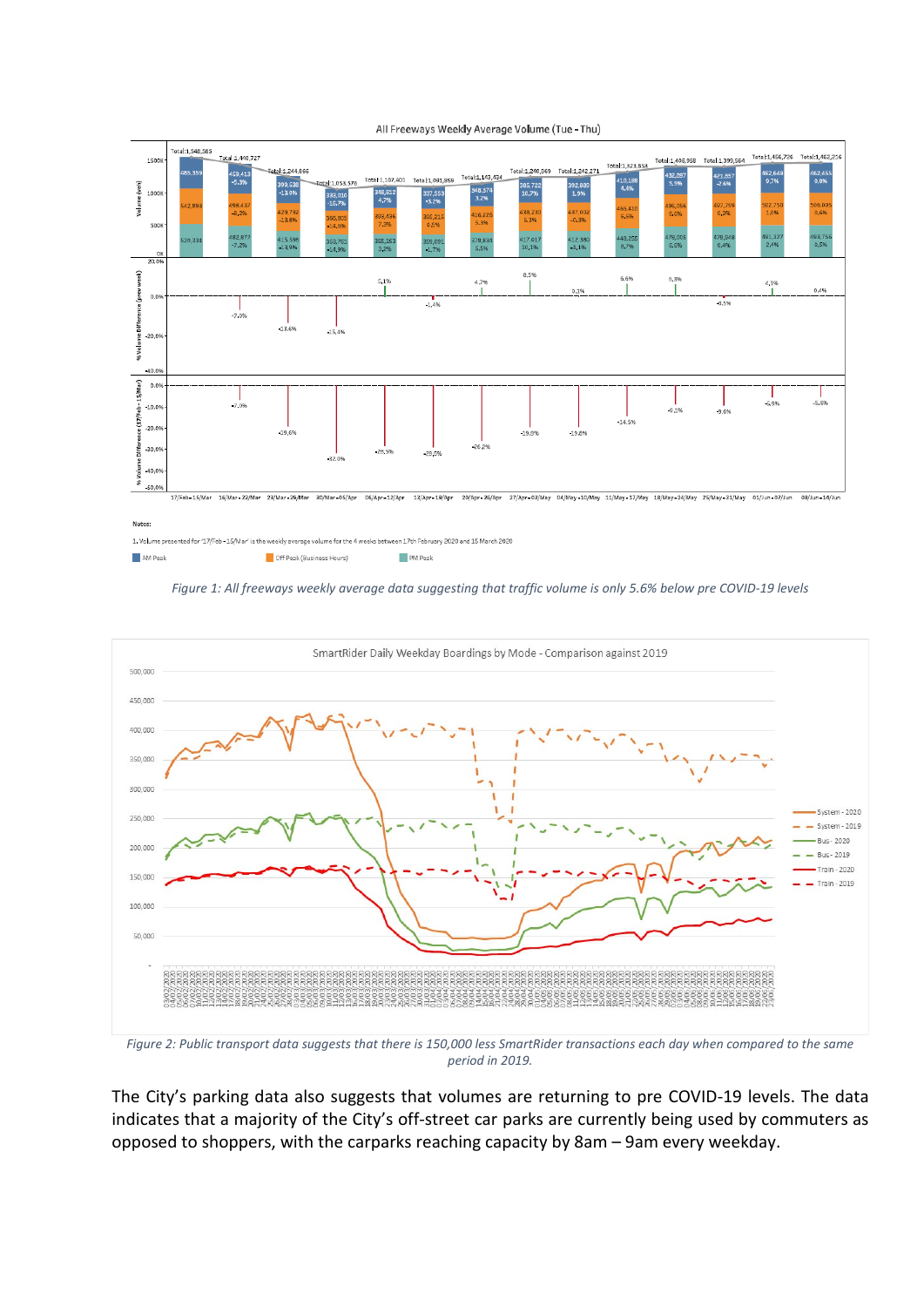

All Freeways Weekly Average Volume (Tue - Thu)

*Figure 1: All freeways weekly average data suggesting that traffic volume is only 5.6% below pre COVID-19 levels*



*Figure 2: Public transport data suggests that there is 150,000 less SmartRider transactions each day when compared to the same period in 2019.*

The City's parking data also suggests that volumes are returning to pre COVID-19 levels. The data indicates that a majority of the City's off-street car parks are currently being used by commuters as opposed to shoppers, with the carparks reaching capacity by 8am – 9am every weekday.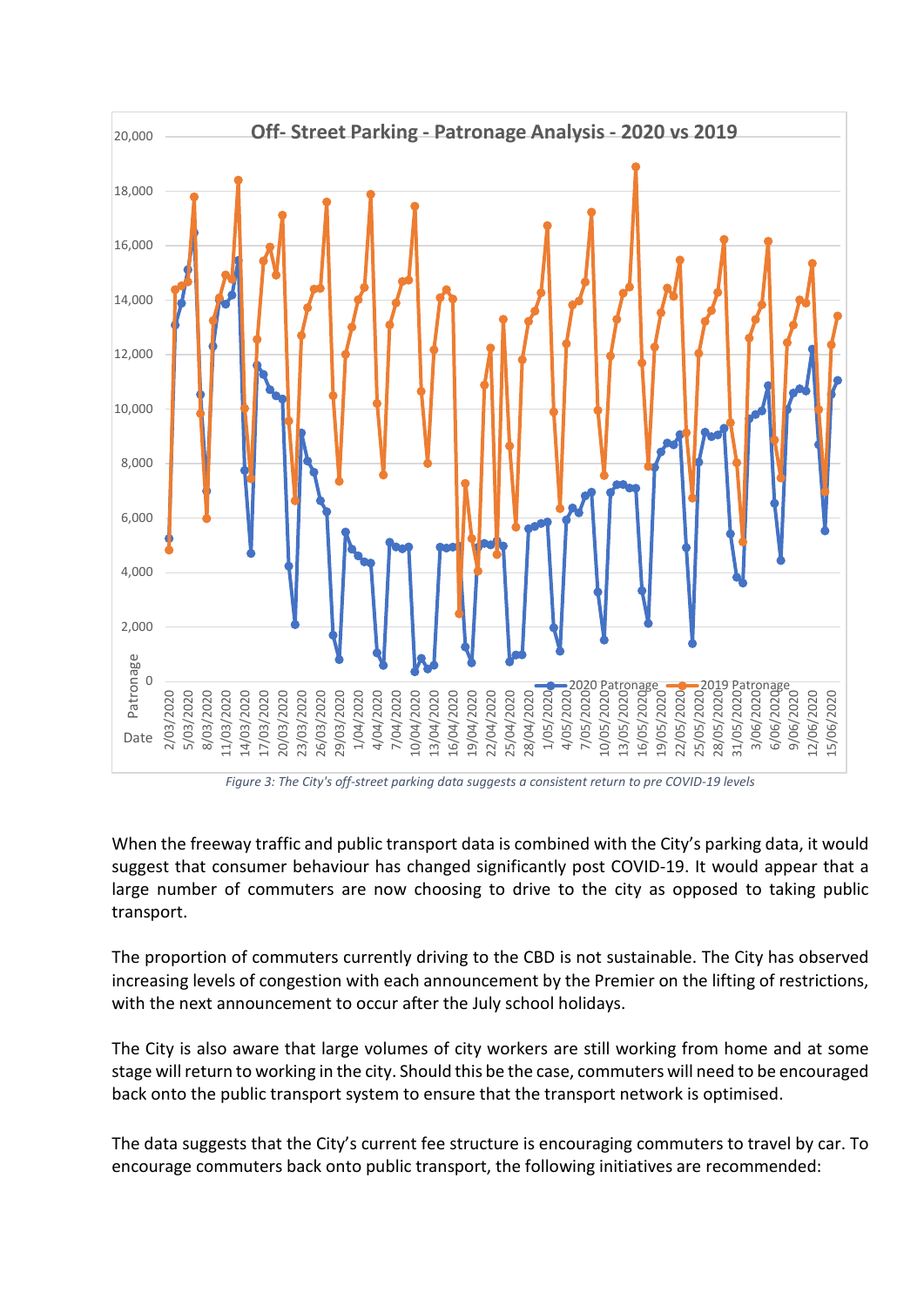

*Figure 3: The City's off-street parking data suggests a consistent return to pre COVID-19 levels*

When the freeway traffic and public transport data is combined with the City's parking data, it would suggest that consumer behaviour has changed significantly post COVID-19. It would appear that a large number of commuters are now choosing to drive to the city as opposed to taking public transport.

The proportion of commuters currently driving to the CBD is not sustainable. The City has observed increasing levels of congestion with each announcement by the Premier on the lifting of restrictions, with the next announcement to occur after the July school holidays.

The City is also aware that large volumes of city workers are still working from home and at some stage will return to working in the city. Should this be the case, commuters will need to be encouraged back onto the public transport system to ensure that the transport network is optimised.

The data suggests that the City's current fee structure is encouraging commuters to travel by car. To encourage commuters back onto public transport, the following initiatives are recommended: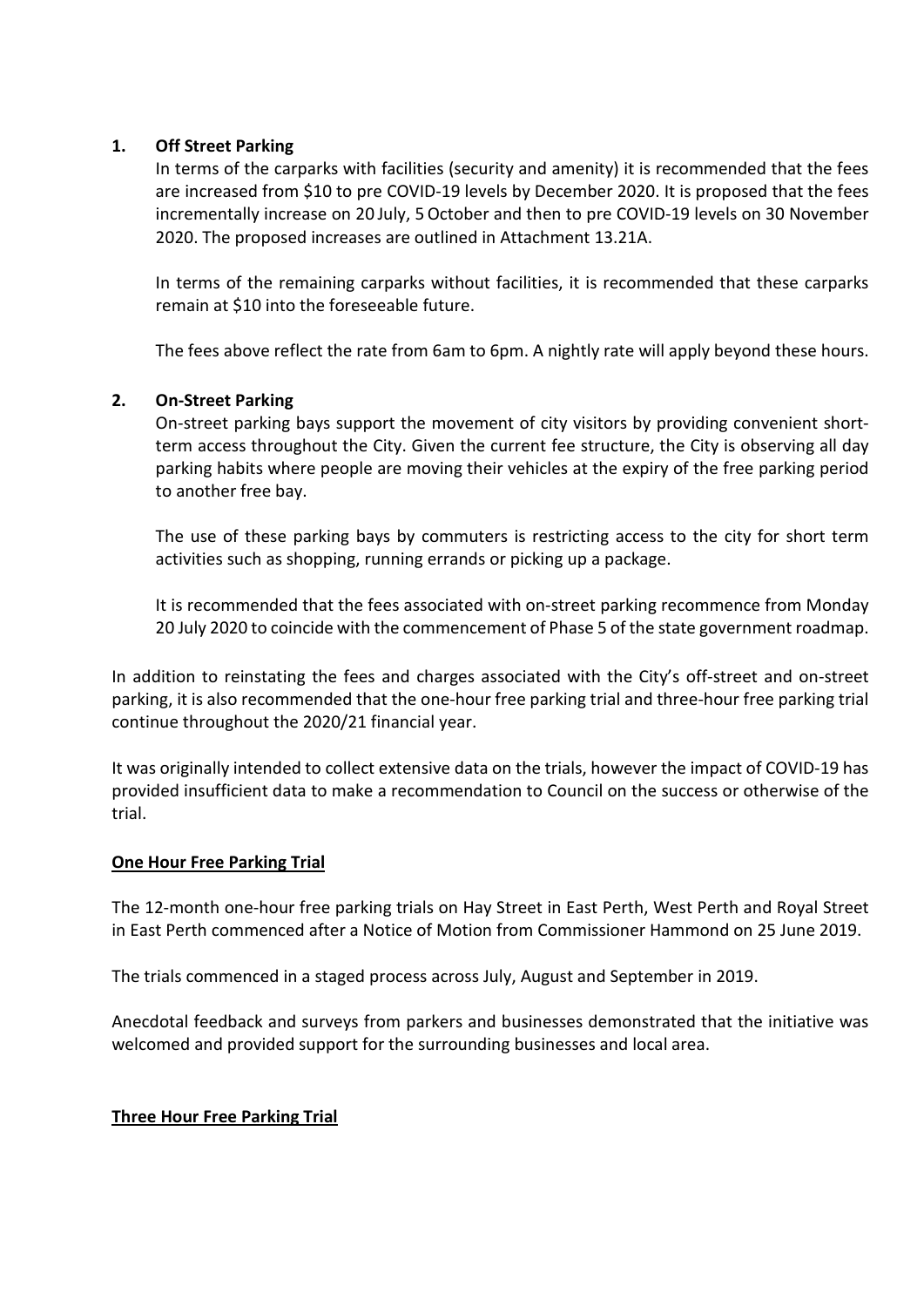### **1. Off Street Parking**

In terms of the carparks with facilities (security and amenity) it is recommended that the fees are increased from \$10 to pre COVID-19 levels by December 2020. It is proposed that the fees incrementally increase on 20 July, 5 October and then to pre COVID-19 levels on 30 November 2020. The proposed increases are outlined in Attachment 13.21A.

In terms of the remaining carparks without facilities, it is recommended that these carparks remain at \$10 into the foreseeable future.

The fees above reflect the rate from 6am to 6pm. A nightly rate will apply beyond these hours.

### **2. On-Street Parking**

On-street parking bays support the movement of city visitors by providing convenient shortterm access throughout the City. Given the current fee structure, the City is observing all day parking habits where people are moving their vehicles at the expiry of the free parking period to another free bay.

The use of these parking bays by commuters is restricting access to the city for short term activities such as shopping, running errands or picking up a package.

It is recommended that the fees associated with on-street parking recommence from Monday 20 July 2020 to coincide with the commencement of Phase 5 of the state government roadmap.

In addition to reinstating the fees and charges associated with the City's off-street and on-street parking, it is also recommended that the one-hour free parking trial and three-hour free parking trial continue throughout the 2020/21 financial year.

It was originally intended to collect extensive data on the trials, however the impact of COVID-19 has provided insufficient data to make a recommendation to Council on the success or otherwise of the trial.

#### **One Hour Free Parking Trial**

The 12-month one-hour free parking trials on Hay Street in East Perth, West Perth and Royal Street in East Perth commenced after a Notice of Motion from Commissioner Hammond on 25 June 2019.

The trials commenced in a staged process across July, August and September in 2019.

Anecdotal feedback and surveys from parkers and businesses demonstrated that the initiative was welcomed and provided support for the surrounding businesses and local area.

#### **Three Hour Free Parking Trial**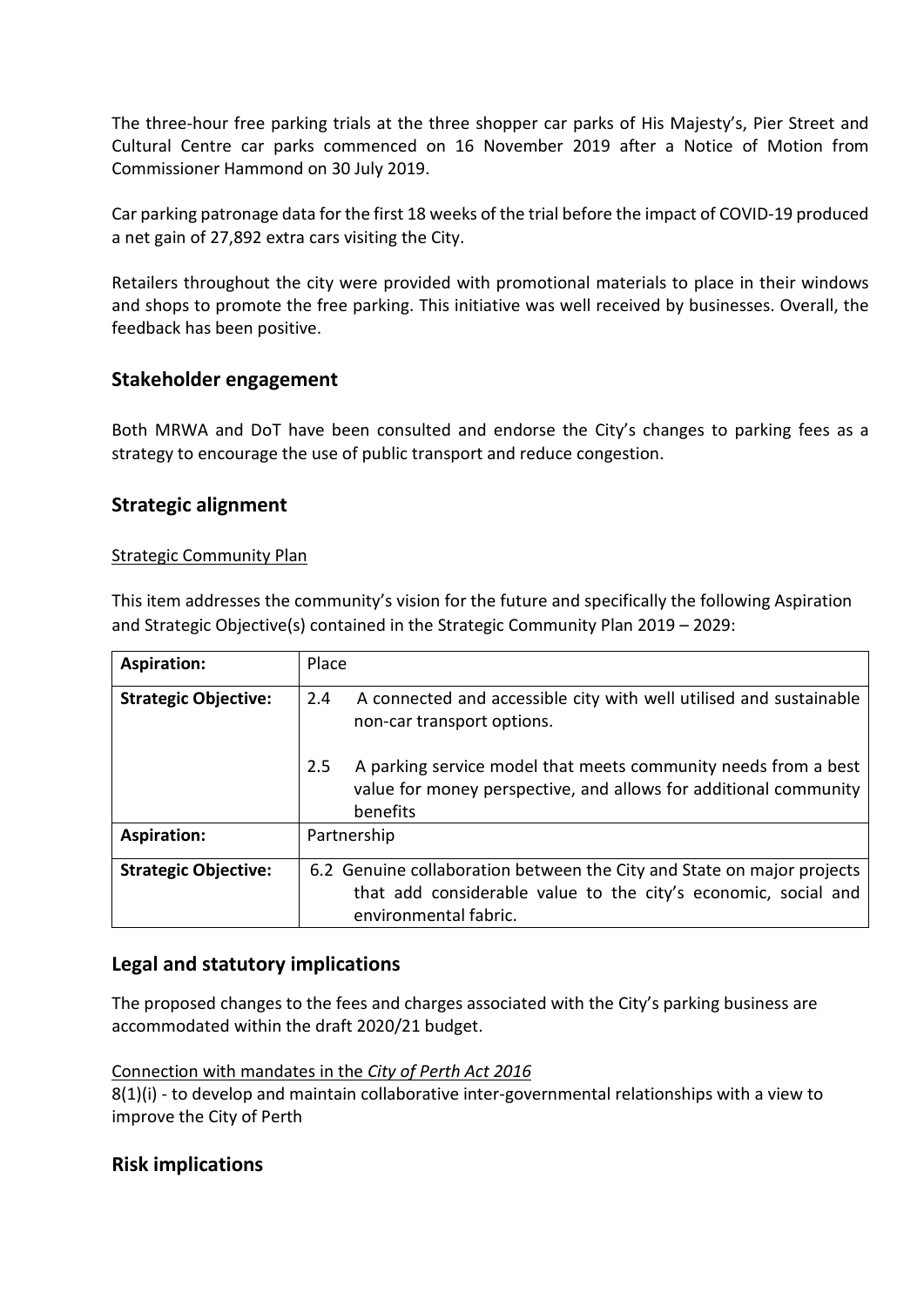The three-hour free parking trials at the three shopper car parks of His Majesty's, Pier Street and Cultural Centre car parks commenced on 16 November 2019 after a Notice of Motion from Commissioner Hammond on 30 July 2019.

Car parking patronage data for the first 18 weeks of the trial before the impact of COVID-19 produced a net gain of 27,892 extra cars visiting the City.

Retailers throughout the city were provided with promotional materials to place in their windows and shops to promote the free parking. This initiative was well received by businesses. Overall, the feedback has been positive.

## **Stakeholder engagement**

Both MRWA and DoT have been consulted and endorse the City's changes to parking fees as a strategy to encourage the use of public transport and reduce congestion.

## **Strategic alignment**

### Strategic Community Plan

This item addresses the community's vision for the future and specifically the following Aspiration and Strategic Objective(s) contained in the Strategic Community Plan 2019 – 2029:

| <b>Aspiration:</b>          | Place                                                                                                                                                             |  |  |
|-----------------------------|-------------------------------------------------------------------------------------------------------------------------------------------------------------------|--|--|
| <b>Strategic Objective:</b> | A connected and accessible city with well utilised and sustainable<br>2.4<br>non-car transport options.                                                           |  |  |
|                             | A parking service model that meets community needs from a best<br>2.5<br>value for money perspective, and allows for additional community<br>benefits             |  |  |
| <b>Aspiration:</b>          | Partnership                                                                                                                                                       |  |  |
| <b>Strategic Objective:</b> | 6.2 Genuine collaboration between the City and State on major projects<br>that add considerable value to the city's economic, social and<br>environmental fabric. |  |  |

## **Legal and statutory implications**

The proposed changes to the fees and charges associated with the City's parking business are accommodated within the draft 2020/21 budget.

#### Connection with mandates in the *City of Perth Act 2016*

8(1)(i) - to develop and maintain collaborative inter-governmental relationships with a view to improve the City of Perth

### **Risk implications**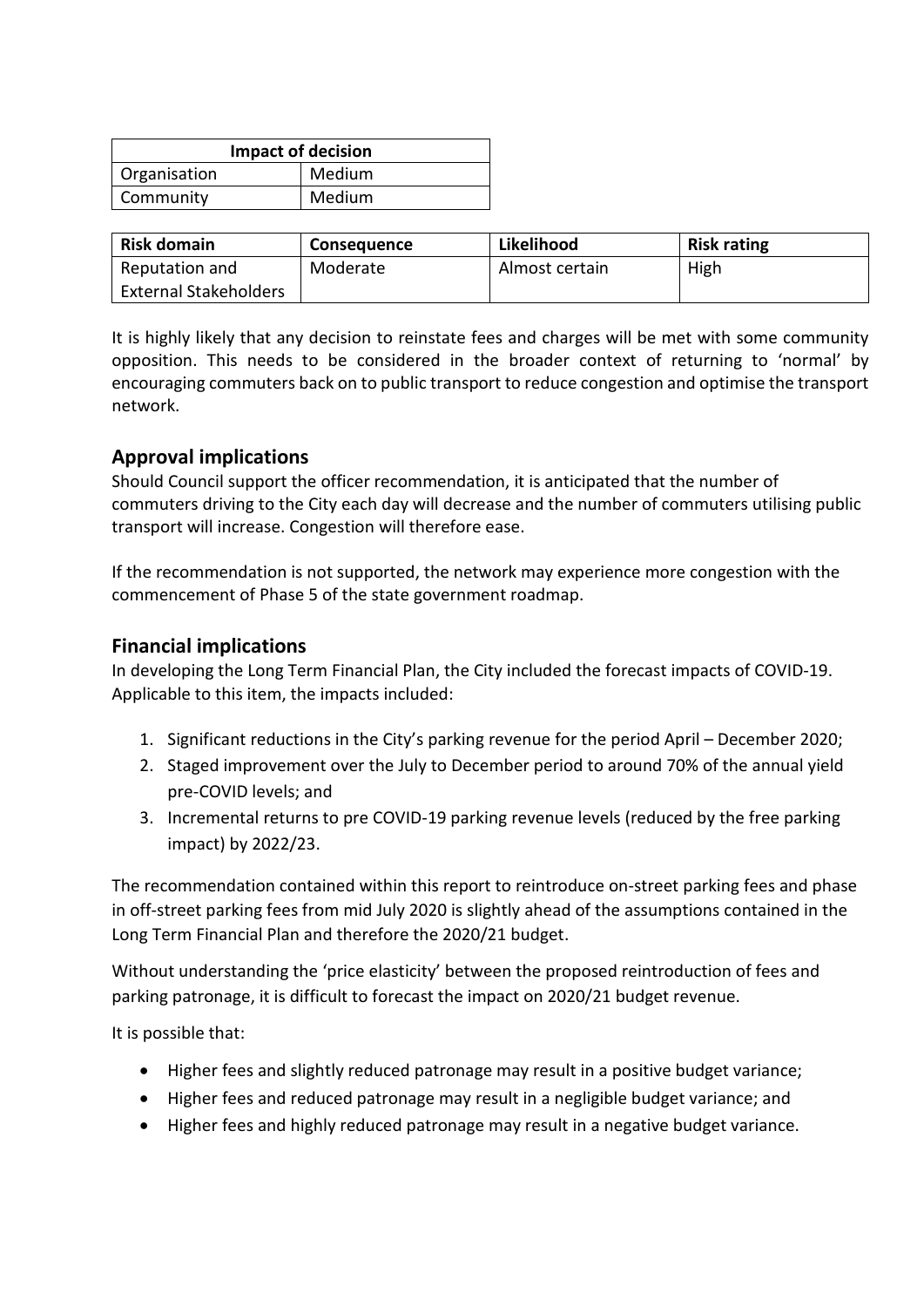| <b>Impact of decision</b> |        |  |  |
|---------------------------|--------|--|--|
| Organisation              | Medium |  |  |
| Community                 | Medium |  |  |

| <b>Risk domain</b>           | <b>Consequence</b> | Likelihood     | <b>Risk rating</b> |
|------------------------------|--------------------|----------------|--------------------|
| Reputation and               | Moderate           | Almost certain | High               |
| <b>External Stakeholders</b> |                    |                |                    |

It is highly likely that any decision to reinstate fees and charges will be met with some community opposition. This needs to be considered in the broader context of returning to 'normal' by encouraging commuters back on to public transport to reduce congestion and optimise the transport network.

## **Approval implications**

Should Council support the officer recommendation, it is anticipated that the number of commuters driving to the City each day will decrease and the number of commuters utilising public transport will increase. Congestion will therefore ease.

If the recommendation is not supported, the network may experience more congestion with the commencement of Phase 5 of the state government roadmap.

## **Financial implications**

In developing the Long Term Financial Plan, the City included the forecast impacts of COVID-19. Applicable to this item, the impacts included:

- 1. Significant reductions in the City's parking revenue for the period April December 2020;
- 2. Staged improvement over the July to December period to around 70% of the annual yield pre-COVID levels; and
- 3. Incremental returns to pre COVID-19 parking revenue levels (reduced by the free parking impact) by 2022/23.

The recommendation contained within this report to reintroduce on-street parking fees and phase in off-street parking fees from mid July 2020 is slightly ahead of the assumptions contained in the Long Term Financial Plan and therefore the 2020/21 budget.

Without understanding the 'price elasticity' between the proposed reintroduction of fees and parking patronage, it is difficult to forecast the impact on 2020/21 budget revenue.

It is possible that:

- Higher fees and slightly reduced patronage may result in a positive budget variance;
- Higher fees and reduced patronage may result in a negligible budget variance; and
- Higher fees and highly reduced patronage may result in a negative budget variance.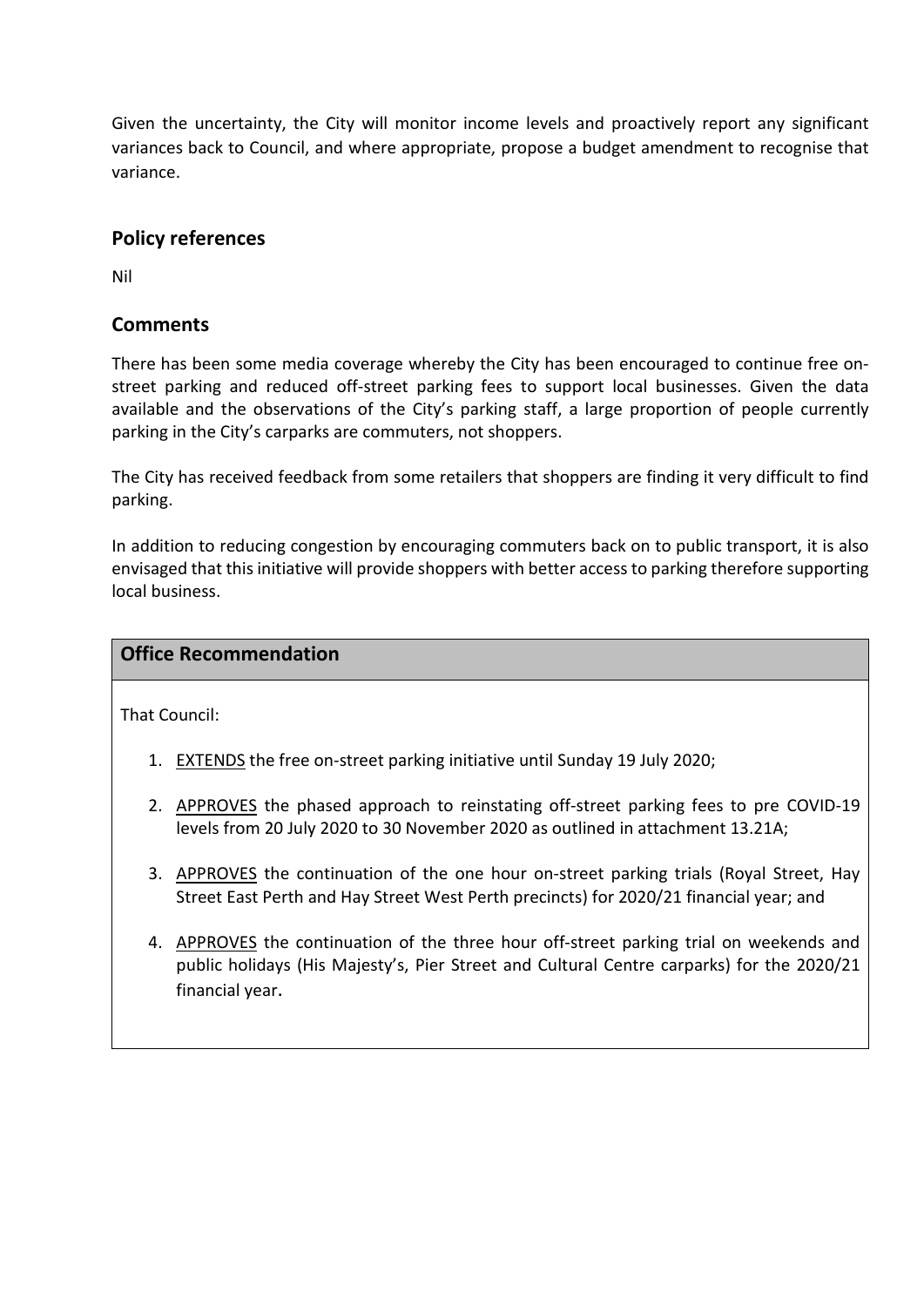Given the uncertainty, the City will monitor income levels and proactively report any significant variances back to Council, and where appropriate, propose a budget amendment to recognise that variance.

## **Policy references**

Nil

## **Comments**

There has been some media coverage whereby the City has been encouraged to continue free onstreet parking and reduced off-street parking fees to support local businesses. Given the data available and the observations of the City's parking staff, a large proportion of people currently parking in the City's carparks are commuters, not shoppers.

The City has received feedback from some retailers that shoppers are finding it very difficult to find parking.

In addition to reducing congestion by encouraging commuters back on to public transport, it is also envisaged that this initiative will provide shoppers with better access to parking therefore supporting local business.

### **Office Recommendation**

That Council:

- 1. EXTENDS the free on-street parking initiative until Sunday 19 July 2020;
- 2. APPROVES the phased approach to reinstating off-street parking fees to pre COVID-19 levels from 20 July 2020 to 30 November 2020 as outlined in attachment 13.21A;
- 3. APPROVES the continuation of the one hour on-street parking trials (Royal Street, Hay Street East Perth and Hay Street West Perth precincts) for 2020/21 financial year; and
- 4. APPROVES the continuation of the three hour off-street parking trial on weekends and public holidays (His Majesty's, Pier Street and Cultural Centre carparks) for the 2020/21 financial year.